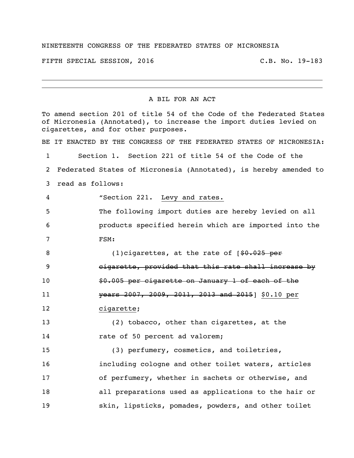## NINETEENTH CONGRESS OF THE FEDERATED STATES OF MICRONESIA

FIFTH SPECIAL SESSION, 2016 C.B. No. 19-183

A BIL FOR AN ACT

To amend section 201 of title 54 of the Code of the Federated States of Micronesia (Annotated), to increase the import duties levied on cigarettes, and for other purposes. BE IT ENACTED BY THE CONGRESS OF THE FEDERATED STATES OF MICRONESIA: 1 Section 1. Section 221 of title 54 of the Code of the 2 Federated States of Micronesia (Annotated), is hereby amended to 3 read as follows: 4 "Section 221. Levy and rates. 5 The following import duties are hereby levied on all 6 products specified herein which are imported into the 7 FSM: 8 (1)cigarettes, at the rate of  $\sqrt{9.025 \text{ per}}$ 9 cigarette, provided that this rate shall increase by 10 50.005 per cigarette on January 1 of each of the 11 years 2007, 2009, 2011, 2013 and 2015] \$0.10 per 12 cigarette; 13 (2) tobacco, other than cigarettes, at the 14 rate of 50 percent ad valorem; 15 (3) perfumery, cosmetics, and toiletries, 16 including cologne and other toilet waters, articles 17 of perfumery, whether in sachets or otherwise, and 18 all preparations used as applications to the hair or 19 skin, lipsticks, pomades, powders, and other toilet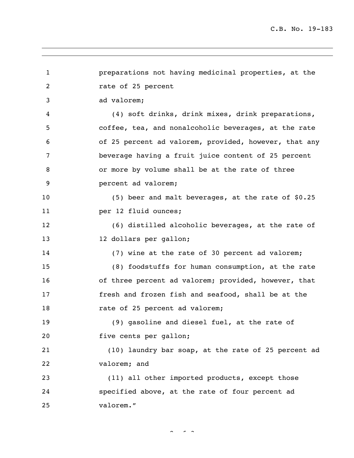1 preparations not having medicinal properties, at the 2 rate of 25 percent 3 ad valorem; 4 (4) soft drinks, drink mixes, drink preparations, 5 coffee, tea, and nonalcoholic beverages, at the rate 6 of 25 percent ad valorem, provided, however, that any 7 beverage having a fruit juice content of 25 percent 8 or more by volume shall be at the rate of three 9 percent ad valorem; 10 (5) beer and malt beverages, at the rate of \$0.25 11 per 12 fluid ounces; 12 (6) distilled alcoholic beverages, at the rate of 13 12 dollars per gallon; 14 (7) wine at the rate of 30 percent ad valorem; 15 (8) foodstuffs for human consumption, at the rate 16 of three percent ad valorem; provided, however, that 17 fresh and frozen fish and seafood, shall be at the 18 rate of 25 percent ad valorem; 19 (9) gasoline and diesel fuel, at the rate of 20 five cents per gallon; 21 (10) laundry bar soap, at the rate of 25 percent ad 22 valorem; and 23 (11) all other imported products, except those 24 specified above, at the rate of four percent ad 25 valorem."

 $2 \times 3$